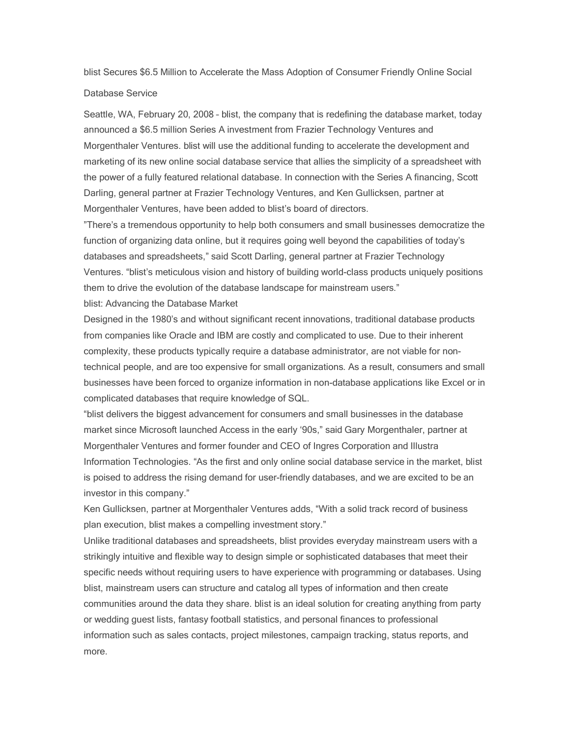blist Secures \$6.5 Million to Accelerate the Mass Adoption of Consumer Friendly Online Social

## Database Service

Seattle, WA, February 20, 2008 - blist, the company that is redefining the database market, today announced a \$6.5 million Series A investment from Frazier Technology Ventures and Morgenthaler Ventures. blist will use the additional funding to accelerate the development and marketing of its new online social database service that allies the simplicity of a spreadsheet with the power of a fully featured relational database. In connection with the Series A financing, Scott Darling, general partner at Frazier Technology Ventures, and Ken Gullicksen, partner at Morgenthaler Ventures, have been added to blist's board of directors.

"There's a tremendous opportunity to help both consumers and small businesses democratize the function of organizing data online, but it requires going well beyond the capabilities of today's databases and spreadsheets," said Scott Darling, general partner at Frazier Technology Ventures. "blist's meticulous vision and history of building world-class products uniquely positions them to drive the evolution of the database landscape for mainstream users."

blist: Advancing the Database Market

Designed in the 1980's and without significant recent innovations, traditional database products from companies like Oracle and IBM are costly and complicated to use. Due to their inherent complexity, these products typically require a database administrator, are not viable for nontechnical people, and are too expensive for small organizations. As a result, consumers and small businesses have been forced to organize information in non-database applications like Excel or in complicated databases that require knowledge of SQL.

³blist delivers the biggest advancement for consumers and small businesses in the database market since Microsoft launched Access in the early '90s," said Gary Morgenthaler, partner at Morgenthaler Ventures and former founder and CEO of Ingres Corporation and Illustra Information Technologies. "As the first and only online social database service in the market, blist is poised to address the rising demand for user-friendly databases, and we are excited to be an investor in this company."

Ken Gullicksen, partner at Morgenthaler Ventures adds, "With a solid track record of business plan execution, blist makes a compelling investment story."

Unlike traditional databases and spreadsheets, blist provides everyday mainstream users with a strikingly intuitive and flexible way to design simple or sophisticated databases that meet their specific needs without requiring users to have experience with programming or databases. Using blist, mainstream users can structure and catalog all types of information and then create communities around the data they share. blist is an ideal solution for creating anything from party or wedding guest lists, fantasy football statistics, and personal finances to professional information such as sales contacts, project milestones, campaign tracking, status reports, and more.